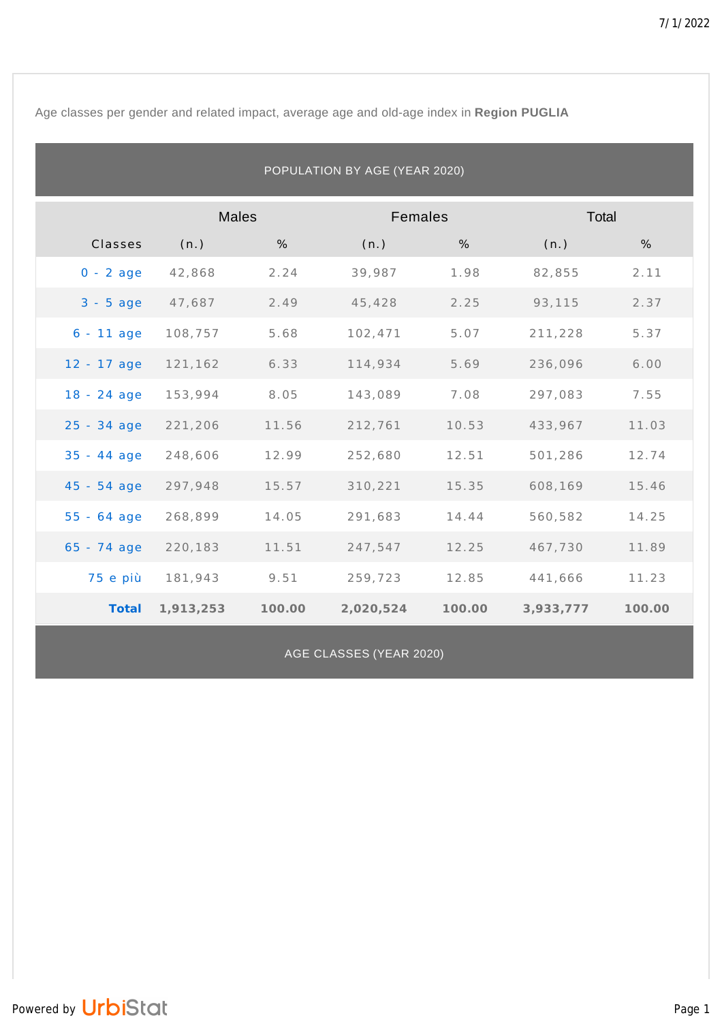Age classes per gender and related impact, average age and old-age index in **Region PUGLIA**

| POPULATION BY AGE (YEAR 2020) |              |        |           |        |           |        |  |  |
|-------------------------------|--------------|--------|-----------|--------|-----------|--------|--|--|
|                               | <b>Males</b> |        | Females   |        | Total     |        |  |  |
| Classes                       | (n.)         | %      | (n.)      | %      | (n.)      | %      |  |  |
| $0 - 2$ age                   | 42,868       | 2.24   | 39,987    | 1.98   | 82,855    | 2.11   |  |  |
| $3 - 5$ age                   | 47,687       | 2.49   | 45,428    | 2.25   | 93,115    | 2.37   |  |  |
| $6 - 11$ age                  | 108,757      | 5.68   | 102,471   | 5.07   | 211,228   | 5.37   |  |  |
| $12 - 17$ age                 | 121,162      | 6.33   | 114,934   | 5.69   | 236,096   | 6.00   |  |  |
| 18 - 24 age                   | 153,994      | 8.05   | 143,089   | 7.08   | 297,083   | 7.55   |  |  |
| 25 - 34 age                   | 221,206      | 11.56  | 212,761   | 10.53  | 433,967   | 11.03  |  |  |
| $35 - 44$ age                 | 248,606      | 12.99  | 252,680   | 12.51  | 501,286   | 12.74  |  |  |
| $45 - 54$ age                 | 297,948      | 15.57  | 310,221   | 15.35  | 608,169   | 15.46  |  |  |
| $55 - 64$ age                 | 268,899      | 14.05  | 291,683   | 14.44  | 560,582   | 14.25  |  |  |
| $65 - 74$ age                 | 220,183      | 11.51  | 247,547   | 12.25  | 467,730   | 11.89  |  |  |
| 75 e più                      | 181,943      | 9.51   | 259,723   | 12.85  | 441,666   | 11.23  |  |  |
| Total                         | 1,913,253    | 100.00 | 2,020,524 | 100.00 | 3,933,777 | 100.00 |  |  |

AGE CLASSES (YEAR 2020)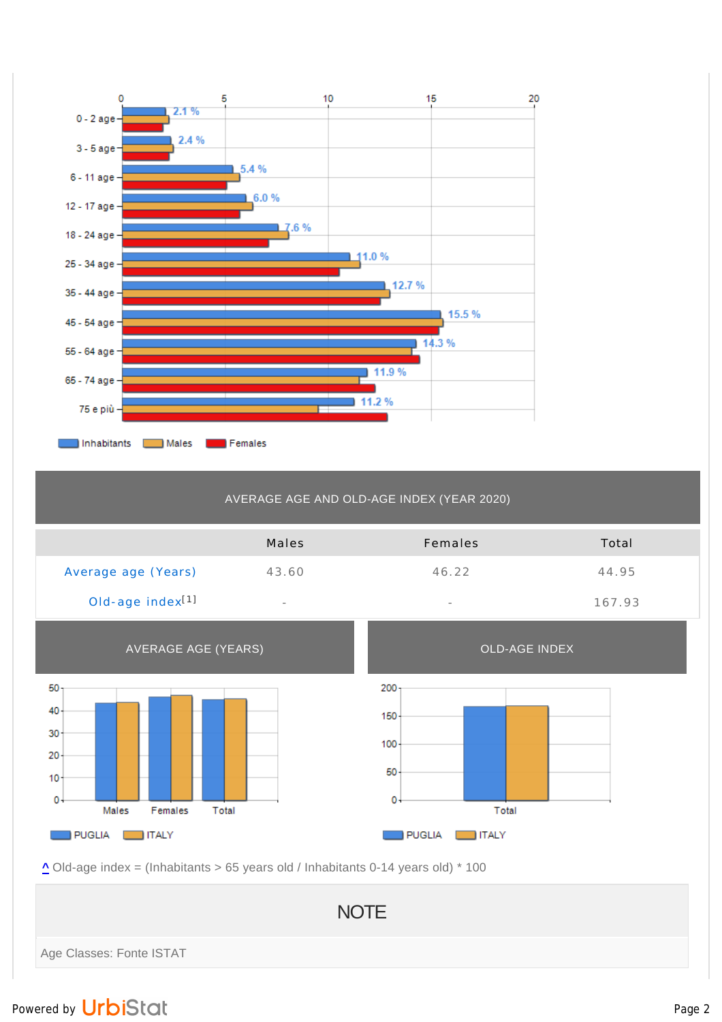

## AVERAGE AGE AND OLD-AGE INDEX (YEAR 2020)

|                              | Males                    | Females                  | Total  |
|------------------------------|--------------------------|--------------------------|--------|
| Average age (Years)          | 43.60                    | 46.22                    | 44.95  |
| Old-age index <sup>[1]</sup> | $\overline{\phantom{a}}$ | $\overline{\phantom{a}}$ | 167.93 |



**^** Old-age index = (Inhabitants > 65 years old / Inhabitants 0-14 years old) \* 100

**NOTE** Age Classes: Fonte ISTAT